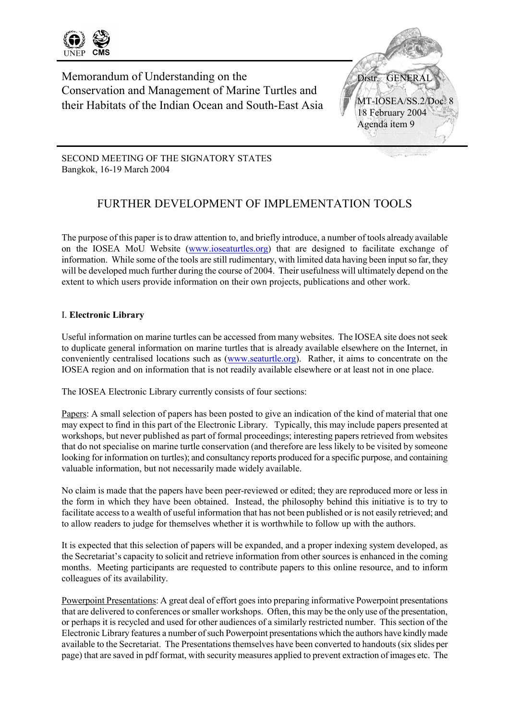

Memorandum of Understanding on the Conservation and Management of Marine Turtles and their Habitats of the Indian Ocean and South-East Asia



SECOND MEETING OF THE SIGNATORY STATES Bangkok, 16-19 March 2004

# FURTHER DEVELOPMENT OF IMPLEMENTATION TOOLS

The purpose of this paper is to draw attention to, and briefly introduce, a number of tools already available on the IOSEA MoU Website (www.ioseaturtles.org) that are designed to facilitate exchange of information. While some of the tools are still rudimentary, with limited data having been input so far, they will be developed much further during the course of 2004. Their usefulness will ultimately depend on the extent to which users provide information on their own projects, publications and other work.

## I. **Electronic Library**

Useful information on marine turtles can be accessed from many websites. The IOSEA site does not seek to duplicate general information on marine turtles that is already available elsewhere on the Internet, in conveniently centralised locations such as (www.seaturtle.org). Rather, it aims to concentrate on the IOSEA region and on information that is not readily available elsewhere or at least not in one place.

The IOSEA Electronic Library currently consists of four sections:

Papers: A small selection of papers has been posted to give an indication of the kind of material that one may expect to find in this part of the Electronic Library. Typically, this may include papers presented at workshops, but never published as part of formal proceedings; interesting papers retrieved from websites that do not specialise on marine turtle conservation (and therefore are less likely to be visited by someone looking for information on turtles); and consultancy reports produced for a specific purpose, and containing valuable information, but not necessarily made widely available.

No claim is made that the papers have been peer-reviewed or edited; they are reproduced more or less in the form in which they have been obtained. Instead, the philosophy behind this initiative is to try to facilitate access to a wealth of useful information that has not been published or is not easily retrieved; and to allow readers to judge for themselves whether it is worthwhile to follow up with the authors.

It is expected that this selection of papers will be expanded, and a proper indexing system developed, as the Secretariat's capacity to solicit and retrieve information from other sources is enhanced in the coming months. Meeting participants are requested to contribute papers to this online resource, and to inform colleagues of its availability.

Powerpoint Presentations: A great deal of effort goes into preparing informative Powerpoint presentations that are delivered to conferences or smaller workshops. Often, this may be the only use of the presentation, or perhaps it is recycled and used for other audiences of a similarly restricted number. This section of the Electronic Library features a number of such Powerpoint presentations which the authors have kindly made available to the Secretariat. The Presentations themselves have been converted to handouts (six slides per page) that are saved in pdf format, with security measures applied to prevent extraction of images etc. The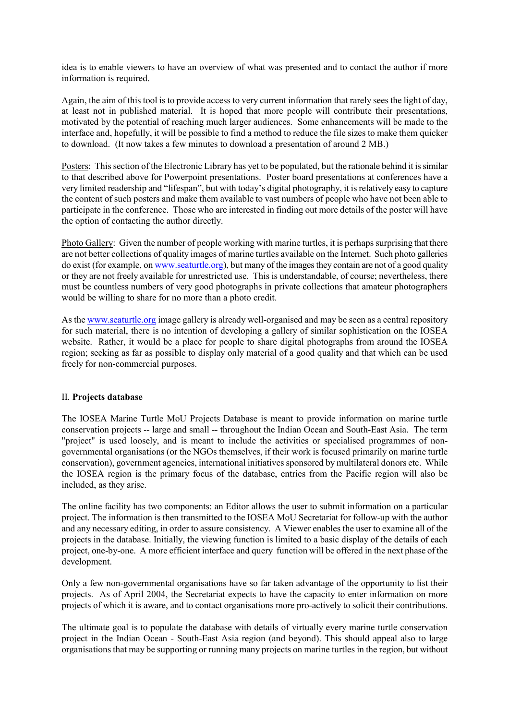idea is to enable viewers to have an overview of what was presented and to contact the author if more information is required.

Again, the aim of this tool is to provide access to very current information that rarely sees the light of day, at least not in published material. It is hoped that more people will contribute their presentations, motivated by the potential of reaching much larger audiences. Some enhancements will be made to the interface and, hopefully, it will be possible to find a method to reduce the file sizes to make them quicker to download. (It now takes a few minutes to download a presentation of around 2 MB.)

Posters: This section of the Electronic Library has yet to be populated, but the rationale behind it is similar to that described above for Powerpoint presentations. Poster board presentations at conferences have a very limited readership and "lifespan", but with today's digital photography, it is relatively easy to capture the content of such posters and make them available to vast numbers of people who have not been able to participate in the conference. Those who are interested in finding out more details of the poster will have the option of contacting the author directly.

Photo Gallery: Given the number of people working with marine turtles, it is perhaps surprising that there are not better collections of quality images of marine turtles available on the Internet. Such photo galleries do exist (for example, on www.seaturtle.org), but many of the images they contain are not of a good quality or they are not freely available for unrestricted use. This is understandable, of course; nevertheless, there must be countless numbers of very good photographs in private collections that amateur photographers would be willing to share for no more than a photo credit.

As the www.seaturtle.org image gallery is already well-organised and may be seen as a central repository for such material, there is no intention of developing a gallery of similar sophistication on the IOSEA website. Rather, it would be a place for people to share digital photographs from around the IOSEA region; seeking as far as possible to display only material of a good quality and that which can be used freely for non-commercial purposes.

#### II. **Projects database**

The IOSEA Marine Turtle MoU Projects Database is meant to provide information on marine turtle conservation projects -- large and small -- throughout the Indian Ocean and South-East Asia. The term "project" is used loosely, and is meant to include the activities or specialised programmes of nongovernmental organisations (or the NGOs themselves, if their work is focused primarily on marine turtle conservation), government agencies, international initiatives sponsored by multilateral donors etc. While the IOSEA region is the primary focus of the database, entries from the Pacific region will also be included, as they arise.

The online facility has two components: an Editor allows the user to submit information on a particular project. The information is then transmitted to the IOSEA MoU Secretariat for follow-up with the author and any necessary editing, in order to assure consistency. A Viewer enables the user to examine all of the projects in the database. Initially, the viewing function is limited to a basic display of the details of each project, one-by-one. A more efficient interface and query function will be offered in the next phase of the development.

Only a few non-governmental organisations have so far taken advantage of the opportunity to list their projects. As of April 2004, the Secretariat expects to have the capacity to enter information on more projects of which it is aware, and to contact organisations more pro-actively to solicit their contributions.

The ultimate goal is to populate the database with details of virtually every marine turtle conservation project in the Indian Ocean - South-East Asia region (and beyond). This should appeal also to large organisations that may be supporting or running many projects on marine turtles in the region, but without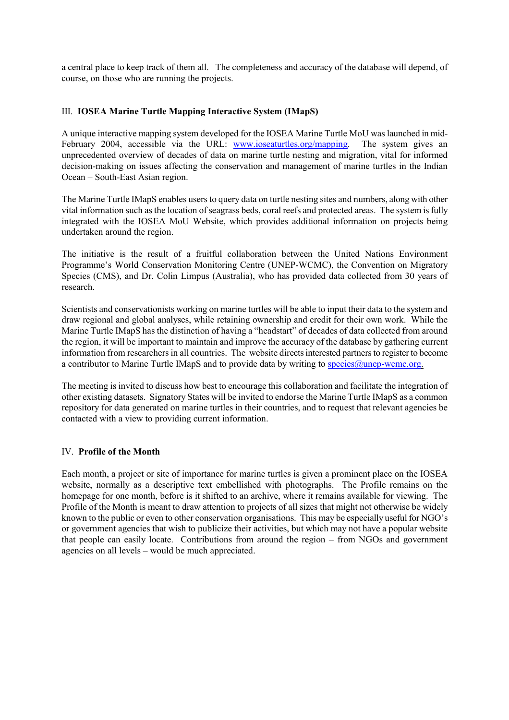a central place to keep track of them all. The completeness and accuracy of the database will depend, of course, on those who are running the projects.

## III. **IOSEA Marine Turtle Mapping Interactive System (IMapS)**

A unique interactive mapping system developed for the IOSEA Marine Turtle MoU was launched in mid-February 2004, accessible via the URL: www.ioseaturtles.org/mapping. The system gives an unprecedented overview of decades of data on marine turtle nesting and migration, vital for informed decision-making on issues affecting the conservation and management of marine turtles in the Indian Ocean – South-East Asian region.

The Marine Turtle IMapS enables users to query data on turtle nesting sites and numbers, along with other vital information such as the location of seagrass beds, coral reefs and protected areas. The system is fully integrated with the IOSEA MoU Website, which provides additional information on projects being undertaken around the region.

The initiative is the result of a fruitful collaboration between the United Nations Environment Programme's World Conservation Monitoring Centre (UNEP-WCMC), the Convention on Migratory Species (CMS), and Dr. Colin Limpus (Australia), who has provided data collected from 30 years of research.

Scientists and conservationists working on marine turtles will be able to input their data to the system and draw regional and global analyses, while retaining ownership and credit for their own work. While the Marine Turtle IMapS has the distinction of having a "headstart" of decades of data collected from around the region, it will be important to maintain and improve the accuracy of the database by gathering current information from researchers in all countries. The website directs interested partners to register to become a contributor to Marine Turtle IMapS and to provide data by writing to  $\frac{\text{species}}{\text{Qunep-weme.org}}$ .

The meeting is invited to discuss how best to encourage this collaboration and facilitate the integration of other existing datasets. Signatory States will be invited to endorse the Marine Turtle IMapS as a common repository for data generated on marine turtles in their countries, and to request that relevant agencies be contacted with a view to providing current information.

#### IV. **Profile of the Month**

Each month, a project or site of importance for marine turtles is given a prominent place on the IOSEA website, normally as a descriptive text embellished with photographs. The Profile remains on the homepage for one month, before is it shifted to an archive, where it remains available for viewing. The Profile of the Month is meant to draw attention to projects of all sizes that might not otherwise be widely known to the public or even to other conservation organisations. This may be especially useful for NGO's or government agencies that wish to publicize their activities, but which may not have a popular website that people can easily locate. Contributions from around the region – from NGOs and government agencies on all levels – would be much appreciated.